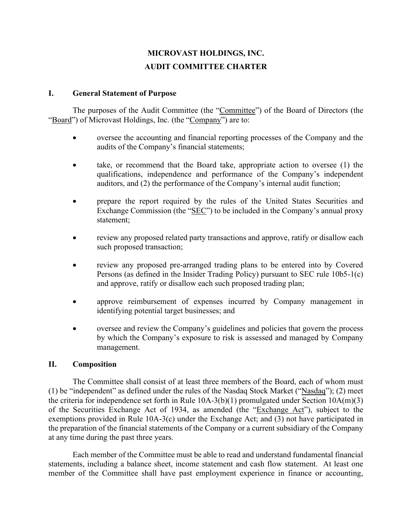# **MICROVAST HOLDINGS, INC. AUDIT COMMITTEE CHARTER**

#### **I. General Statement of Purpose**

The purposes of the Audit Committee (the "Committee") of the Board of Directors (the "Board") of Microvast Holdings, Inc. (the "Company") are to:

- oversee the accounting and financial reporting processes of the Company and the audits of the Company's financial statements;
- take, or recommend that the Board take, appropriate action to oversee (1) the qualifications, independence and performance of the Company's independent auditors, and (2) the performance of the Company's internal audit function;
- prepare the report required by the rules of the United States Securities and Exchange Commission (the "SEC") to be included in the Company's annual proxy statement;
- review any proposed related party transactions and approve, ratify or disallow each such proposed transaction;
- review any proposed pre-arranged trading plans to be entered into by Covered Persons (as defined in the Insider Trading Policy) pursuant to SEC rule 10b5-1(c) and approve, ratify or disallow each such proposed trading plan;
- approve reimbursement of expenses incurred by Company management in identifying potential target businesses; and
- oversee and review the Company's guidelines and policies that govern the process by which the Company's exposure to risk is assessed and managed by Company management.

#### **II. Composition**

The Committee shall consist of at least three members of the Board, each of whom must (1) be "independent" as defined under the rules of the Nasdaq Stock Market ("Nasdaq"); (2) meet the criteria for independence set forth in Rule  $10A-3(b)(1)$  promulgated under Section  $10A(m)(3)$ of the Securities Exchange Act of 1934, as amended (the "Exchange Act"), subject to the exemptions provided in Rule 10A-3(c) under the Exchange Act; and (3) not have participated in the preparation of the financial statements of the Company or a current subsidiary of the Company at any time during the past three years.

Each member of the Committee must be able to read and understand fundamental financial statements, including a balance sheet, income statement and cash flow statement. At least one member of the Committee shall have past employment experience in finance or accounting,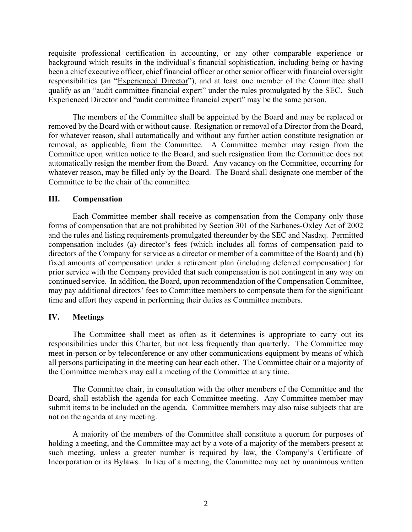requisite professional certification in accounting, or any other comparable experience or background which results in the individual's financial sophistication, including being or having been a chief executive officer, chief financial officer or other senior officer with financial oversight responsibilities (an "Experienced Director"), and at least one member of the Committee shall qualify as an "audit committee financial expert" under the rules promulgated by the SEC. Such Experienced Director and "audit committee financial expert" may be the same person.

The members of the Committee shall be appointed by the Board and may be replaced or removed by the Board with or without cause. Resignation or removal of a Director from the Board, for whatever reason, shall automatically and without any further action constitute resignation or removal, as applicable, from the Committee. A Committee member may resign from the Committee upon written notice to the Board, and such resignation from the Committee does not automatically resign the member from the Board. Any vacancy on the Committee, occurring for whatever reason, may be filled only by the Board. The Board shall designate one member of the Committee to be the chair of the committee.

#### **III. Compensation**

Each Committee member shall receive as compensation from the Company only those forms of compensation that are not prohibited by Section 301 of the Sarbanes-Oxley Act of 2002 and the rules and listing requirements promulgated thereunder by the SEC and Nasdaq. Permitted compensation includes (a) director's fees (which includes all forms of compensation paid to directors of the Company for service as a director or member of a committee of the Board) and (b) fixed amounts of compensation under a retirement plan (including deferred compensation) for prior service with the Company provided that such compensation is not contingent in any way on continued service. In addition, the Board, upon recommendation of the Compensation Committee, may pay additional directors' fees to Committee members to compensate them for the significant time and effort they expend in performing their duties as Committee members.

#### **IV. Meetings**

The Committee shall meet as often as it determines is appropriate to carry out its responsibilities under this Charter, but not less frequently than quarterly. The Committee may meet in-person or by teleconference or any other communications equipment by means of which all persons participating in the meeting can hear each other. The Committee chair or a majority of the Committee members may call a meeting of the Committee at any time.

The Committee chair, in consultation with the other members of the Committee and the Board, shall establish the agenda for each Committee meeting. Any Committee member may submit items to be included on the agenda. Committee members may also raise subjects that are not on the agenda at any meeting.

A majority of the members of the Committee shall constitute a quorum for purposes of holding a meeting, and the Committee may act by a vote of a majority of the members present at such meeting, unless a greater number is required by law, the Company's Certificate of Incorporation or its Bylaws. In lieu of a meeting, the Committee may act by unanimous written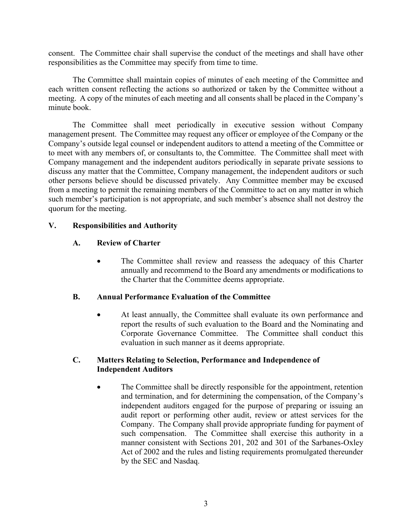consent. The Committee chair shall supervise the conduct of the meetings and shall have other responsibilities as the Committee may specify from time to time.

The Committee shall maintain copies of minutes of each meeting of the Committee and each written consent reflecting the actions so authorized or taken by the Committee without a meeting. A copy of the minutes of each meeting and all consents shall be placed in the Company's minute book.

The Committee shall meet periodically in executive session without Company management present. The Committee may request any officer or employee of the Company or the Company's outside legal counsel or independent auditors to attend a meeting of the Committee or to meet with any members of, or consultants to, the Committee. The Committee shall meet with Company management and the independent auditors periodically in separate private sessions to discuss any matter that the Committee, Company management, the independent auditors or such other persons believe should be discussed privately. Any Committee member may be excused from a meeting to permit the remaining members of the Committee to act on any matter in which such member's participation is not appropriate, and such member's absence shall not destroy the quorum for the meeting.

#### **V. Responsibilities and Authority**

#### **A. Review of Charter**

• The Committee shall review and reassess the adequacy of this Charter annually and recommend to the Board any amendments or modifications to the Charter that the Committee deems appropriate.

#### **B. Annual Performance Evaluation of the Committee**

• At least annually, the Committee shall evaluate its own performance and report the results of such evaluation to the Board and the Nominating and Corporate Governance Committee. The Committee shall conduct this evaluation in such manner as it deems appropriate.

#### **C. Matters Relating to Selection, Performance and Independence of Independent Auditors**

The Committee shall be directly responsible for the appointment, retention and termination, and for determining the compensation, of the Company's independent auditors engaged for the purpose of preparing or issuing an audit report or performing other audit, review or attest services for the Company. The Company shall provide appropriate funding for payment of such compensation. The Committee shall exercise this authority in a manner consistent with Sections 201, 202 and 301 of the Sarbanes-Oxley Act of 2002 and the rules and listing requirements promulgated thereunder by the SEC and Nasdaq.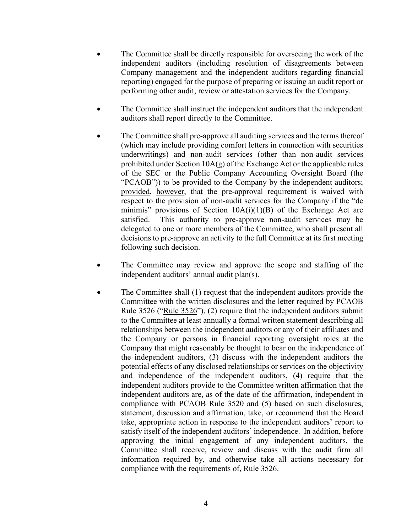- The Committee shall be directly responsible for overseeing the work of the independent auditors (including resolution of disagreements between Company management and the independent auditors regarding financial reporting) engaged for the purpose of preparing or issuing an audit report or performing other audit, review or attestation services for the Company.
- The Committee shall instruct the independent auditors that the independent auditors shall report directly to the Committee.
- The Committee shall pre-approve all auditing services and the terms thereof (which may include providing comfort letters in connection with securities underwritings) and non-audit services (other than non-audit services prohibited under Section  $10A(g)$  of the Exchange Act or the applicable rules of the SEC or the Public Company Accounting Oversight Board (the "PCAOB")) to be provided to the Company by the independent auditors; provided, however, that the pre-approval requirement is waived with respect to the provision of non-audit services for the Company if the "de minimis" provisions of Section  $10A(i)(1)(B)$  of the Exchange Act are satisfied. This authority to pre-approve non-audit services may be delegated to one or more members of the Committee, who shall present all decisions to pre-approve an activity to the full Committee at its first meeting following such decision.
- The Committee may review and approve the scope and staffing of the independent auditors' annual audit plan(s).
- The Committee shall (1) request that the independent auditors provide the Committee with the written disclosures and the letter required by PCAOB Rule 3526 ("Rule 3526"), (2) require that the independent auditors submit to the Committee at least annually a formal written statement describing all relationships between the independent auditors or any of their affiliates and the Company or persons in financial reporting oversight roles at the Company that might reasonably be thought to bear on the independence of the independent auditors, (3) discuss with the independent auditors the potential effects of any disclosed relationships or services on the objectivity and independence of the independent auditors, (4) require that the independent auditors provide to the Committee written affirmation that the independent auditors are, as of the date of the affirmation, independent in compliance with PCAOB Rule 3520 and (5) based on such disclosures, statement, discussion and affirmation, take, or recommend that the Board take, appropriate action in response to the independent auditors' report to satisfy itself of the independent auditors' independence. In addition, before approving the initial engagement of any independent auditors, the Committee shall receive, review and discuss with the audit firm all information required by, and otherwise take all actions necessary for compliance with the requirements of, Rule 3526.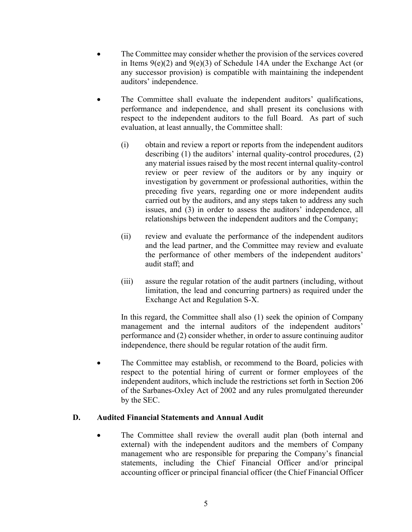- The Committee may consider whether the provision of the services covered in Items  $9(e)(2)$  and  $9(e)(3)$  of Schedule 14A under the Exchange Act (or any successor provision) is compatible with maintaining the independent auditors' independence.
- The Committee shall evaluate the independent auditors' qualifications, performance and independence, and shall present its conclusions with respect to the independent auditors to the full Board. As part of such evaluation, at least annually, the Committee shall:
	- (i) obtain and review a report or reports from the independent auditors describing (1) the auditors' internal quality-control procedures, (2) any material issues raised by the most recent internal quality-control review or peer review of the auditors or by any inquiry or investigation by government or professional authorities, within the preceding five years, regarding one or more independent audits carried out by the auditors, and any steps taken to address any such issues, and (3) in order to assess the auditors' independence, all relationships between the independent auditors and the Company;
	- (ii) review and evaluate the performance of the independent auditors and the lead partner, and the Committee may review and evaluate the performance of other members of the independent auditors' audit staff; and
	- (iii) assure the regular rotation of the audit partners (including, without limitation, the lead and concurring partners) as required under the Exchange Act and Regulation S-X.

In this regard, the Committee shall also (1) seek the opinion of Company management and the internal auditors of the independent auditors' performance and (2) consider whether, in order to assure continuing auditor independence, there should be regular rotation of the audit firm.

The Committee may establish, or recommend to the Board, policies with respect to the potential hiring of current or former employees of the independent auditors, which include the restrictions set forth in Section 206 of the Sarbanes-Oxley Act of 2002 and any rules promulgated thereunder by the SEC.

### **D. Audited Financial Statements and Annual Audit**

The Committee shall review the overall audit plan (both internal and external) with the independent auditors and the members of Company management who are responsible for preparing the Company's financial statements, including the Chief Financial Officer and/or principal accounting officer or principal financial officer (the Chief Financial Officer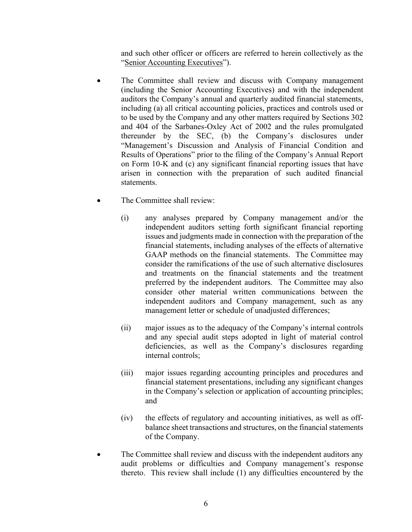and such other officer or officers are referred to herein collectively as the "Senior Accounting Executives").

- The Committee shall review and discuss with Company management (including the Senior Accounting Executives) and with the independent auditors the Company's annual and quarterly audited financial statements, including (a) all critical accounting policies, practices and controls used or to be used by the Company and any other matters required by Sections 302 and 404 of the Sarbanes-Oxley Act of 2002 and the rules promulgated thereunder by the SEC, (b) the Company's disclosures under "Management's Discussion and Analysis of Financial Condition and Results of Operations" prior to the filing of the Company's Annual Report on Form 10-K and (c) any significant financial reporting issues that have arisen in connection with the preparation of such audited financial statements.
- The Committee shall review:
	- (i) any analyses prepared by Company management and/or the independent auditors setting forth significant financial reporting issues and judgments made in connection with the preparation of the financial statements, including analyses of the effects of alternative GAAP methods on the financial statements. The Committee may consider the ramifications of the use of such alternative disclosures and treatments on the financial statements and the treatment preferred by the independent auditors. The Committee may also consider other material written communications between the independent auditors and Company management, such as any management letter or schedule of unadjusted differences;
	- (ii) major issues as to the adequacy of the Company's internal controls and any special audit steps adopted in light of material control deficiencies, as well as the Company's disclosures regarding internal controls;
	- (iii) major issues regarding accounting principles and procedures and financial statement presentations, including any significant changes in the Company's selection or application of accounting principles; and
	- (iv) the effects of regulatory and accounting initiatives, as well as offbalance sheet transactions and structures, on the financial statements of the Company.
- The Committee shall review and discuss with the independent auditors any audit problems or difficulties and Company management's response thereto. This review shall include (1) any difficulties encountered by the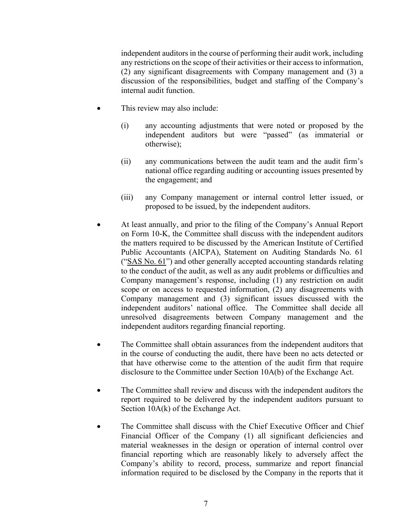independent auditors in the course of performing their audit work, including any restrictions on the scope of their activities or their access to information, (2) any significant disagreements with Company management and (3) a discussion of the responsibilities, budget and staffing of the Company's internal audit function.

- This review may also include:
	- (i) any accounting adjustments that were noted or proposed by the independent auditors but were "passed" (as immaterial or otherwise);
	- (ii) any communications between the audit team and the audit firm's national office regarding auditing or accounting issues presented by the engagement; and
	- (iii) any Company management or internal control letter issued, or proposed to be issued, by the independent auditors.
- At least annually, and prior to the filing of the Company's Annual Report on Form 10-K, the Committee shall discuss with the independent auditors the matters required to be discussed by the American Institute of Certified Public Accountants (AICPA), Statement on Auditing Standards No. 61 ("SAS No. 61") and other generally accepted accounting standards relating to the conduct of the audit, as well as any audit problems or difficulties and Company management's response, including (1) any restriction on audit scope or on access to requested information, (2) any disagreements with Company management and (3) significant issues discussed with the independent auditors' national office. The Committee shall decide all unresolved disagreements between Company management and the independent auditors regarding financial reporting.
- The Committee shall obtain assurances from the independent auditors that in the course of conducting the audit, there have been no acts detected or that have otherwise come to the attention of the audit firm that require disclosure to the Committee under Section 10A(b) of the Exchange Act.
- The Committee shall review and discuss with the independent auditors the report required to be delivered by the independent auditors pursuant to Section 10A(k) of the Exchange Act.
- The Committee shall discuss with the Chief Executive Officer and Chief Financial Officer of the Company (1) all significant deficiencies and material weaknesses in the design or operation of internal control over financial reporting which are reasonably likely to adversely affect the Company's ability to record, process, summarize and report financial information required to be disclosed by the Company in the reports that it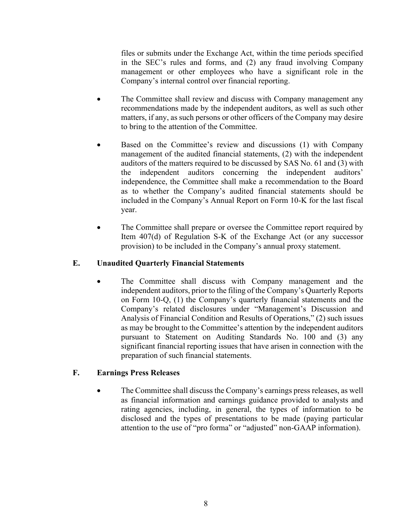files or submits under the Exchange Act, within the time periods specified in the SEC's rules and forms, and (2) any fraud involving Company management or other employees who have a significant role in the Company's internal control over financial reporting.

- The Committee shall review and discuss with Company management any recommendations made by the independent auditors, as well as such other matters, if any, as such persons or other officers of the Company may desire to bring to the attention of the Committee.
- Based on the Committee's review and discussions (1) with Company management of the audited financial statements, (2) with the independent auditors of the matters required to be discussed by SAS No. 61 and (3) with the independent auditors concerning the independent auditors' independence, the Committee shall make a recommendation to the Board as to whether the Company's audited financial statements should be included in the Company's Annual Report on Form 10-K for the last fiscal year.
- The Committee shall prepare or oversee the Committee report required by Item 407(d) of Regulation S-K of the Exchange Act (or any successor provision) to be included in the Company's annual proxy statement.

### **E. Unaudited Quarterly Financial Statements**

The Committee shall discuss with Company management and the independent auditors, prior to the filing of the Company's Quarterly Reports on Form 10-Q, (1) the Company's quarterly financial statements and the Company's related disclosures under "Management's Discussion and Analysis of Financial Condition and Results of Operations," (2) such issues as may be brought to the Committee's attention by the independent auditors pursuant to Statement on Auditing Standards No. 100 and (3) any significant financial reporting issues that have arisen in connection with the preparation of such financial statements.

### **F. Earnings Press Releases**

• The Committee shall discuss the Company's earnings press releases, as well as financial information and earnings guidance provided to analysts and rating agencies, including, in general, the types of information to be disclosed and the types of presentations to be made (paying particular attention to the use of "pro forma" or "adjusted" non-GAAP information).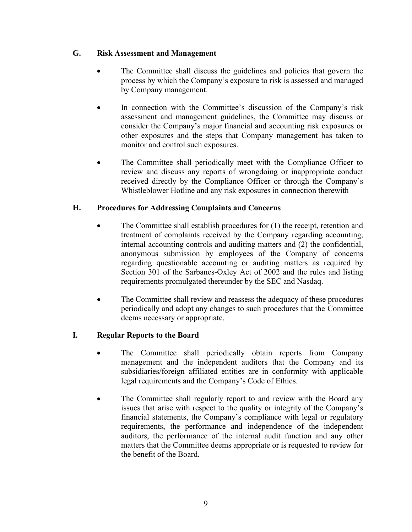### **G. Risk Assessment and Management**

- The Committee shall discuss the guidelines and policies that govern the process by which the Company's exposure to risk is assessed and managed by Company management.
- In connection with the Committee's discussion of the Company's risk assessment and management guidelines, the Committee may discuss or consider the Company's major financial and accounting risk exposures or other exposures and the steps that Company management has taken to monitor and control such exposures.
- The Committee shall periodically meet with the Compliance Officer to review and discuss any reports of wrongdoing or inappropriate conduct received directly by the Compliance Officer or through the Company's Whistleblower Hotline and any risk exposures in connection therewith

## **H. Procedures for Addressing Complaints and Concerns**

- The Committee shall establish procedures for (1) the receipt, retention and treatment of complaints received by the Company regarding accounting, internal accounting controls and auditing matters and (2) the confidential, anonymous submission by employees of the Company of concerns regarding questionable accounting or auditing matters as required by Section 301 of the Sarbanes-Oxley Act of 2002 and the rules and listing requirements promulgated thereunder by the SEC and Nasdaq.
- The Committee shall review and reassess the adequacy of these procedures periodically and adopt any changes to such procedures that the Committee deems necessary or appropriate.

# **I. Regular Reports to the Board**

- The Committee shall periodically obtain reports from Company management and the independent auditors that the Company and its subsidiaries/foreign affiliated entities are in conformity with applicable legal requirements and the Company's Code of Ethics.
- The Committee shall regularly report to and review with the Board any issues that arise with respect to the quality or integrity of the Company's financial statements, the Company's compliance with legal or regulatory requirements, the performance and independence of the independent auditors, the performance of the internal audit function and any other matters that the Committee deems appropriate or is requested to review for the benefit of the Board.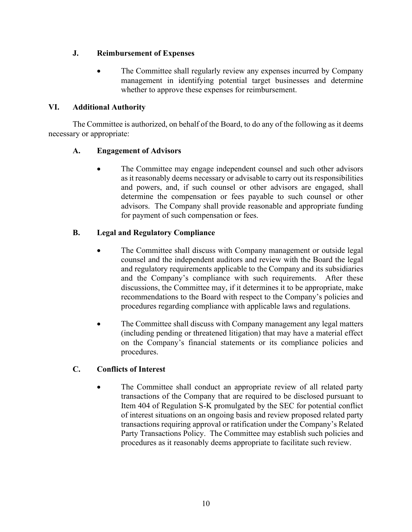### **J. Reimbursement of Expenses**

The Committee shall regularly review any expenses incurred by Company management in identifying potential target businesses and determine whether to approve these expenses for reimbursement.

## **VI. Additional Authority**

The Committee is authorized, on behalf of the Board, to do any of the following as it deems necessary or appropriate:

## **A. Engagement of Advisors**

The Committee may engage independent counsel and such other advisors as it reasonably deems necessary or advisable to carry out its responsibilities and powers, and, if such counsel or other advisors are engaged, shall determine the compensation or fees payable to such counsel or other advisors. The Company shall provide reasonable and appropriate funding for payment of such compensation or fees.

# **B. Legal and Regulatory Compliance**

- The Committee shall discuss with Company management or outside legal counsel and the independent auditors and review with the Board the legal and regulatory requirements applicable to the Company and its subsidiaries and the Company's compliance with such requirements. After these discussions, the Committee may, if it determines it to be appropriate, make recommendations to the Board with respect to the Company's policies and procedures regarding compliance with applicable laws and regulations.
- The Committee shall discuss with Company management any legal matters (including pending or threatened litigation) that may have a material effect on the Company's financial statements or its compliance policies and procedures.

# **C. Conflicts of Interest**

The Committee shall conduct an appropriate review of all related party transactions of the Company that are required to be disclosed pursuant to Item 404 of Regulation S-K promulgated by the SEC for potential conflict of interest situations on an ongoing basis and review proposed related party transactions requiring approval or ratification under the Company's Related Party Transactions Policy. The Committee may establish such policies and procedures as it reasonably deems appropriate to facilitate such review.